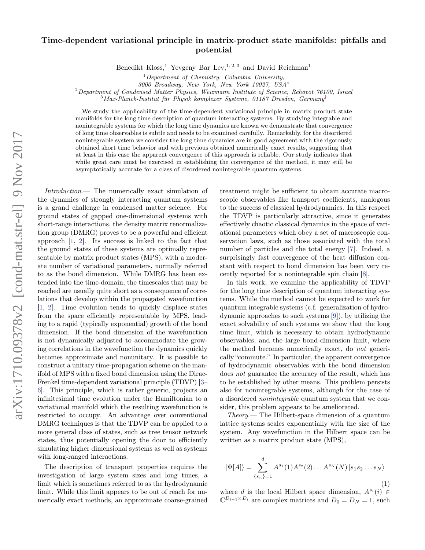## Time-dependent variational principle in matrix-product state manifolds: pitfalls and potential

Benedikt Kloss,<sup>1</sup> Yevgeny Bar Lev,<sup>1, 2, 3</sup> and David Reichman<sup>1</sup>

3000 Broadway, New York, New York 10027, USA[∗](#page-4-0)

<sup>2</sup>Department of Condensed Matter Physics, Weizmann Institute of Science, Rehovot 76100, Israel

 $3$ Max-Planck-Institut für Physik komplexer Systeme, 01187 Dresden, Germany<sup>[†](#page-4-1)</sup>

We study the applicability of the time-dependent variational principle in matrix product state manifolds for the long time description of quantum interacting systems. By studying integrable and nonintegrable systems for which the long time dynamics are known we demonstrate that convergence of long time observables is subtle and needs to be examined carefully. Remarkably, for the disordered nonintegrable system we consider the long time dynamics are in good agreement with the rigorously obtained short time behavior and with previous obtained numerically exact results, suggesting that at least in this case the apparent convergence of this approach is reliable. Our study indicates that while great care must be exercised in establishing the convergence of the method, it may still be asymptotically accurate for a class of disordered nonintegrable quantum systems.

Introduction.— The numerically exact simulation of the dynamics of strongly interacting quantum systems is a grand challenge in condensed matter science. For ground states of gapped one-dimensional systems with short-range interactions, the density matrix renormalization group (DMRG) proves to be a powerful and efficient approach [\[1,](#page-4-2) [2\]](#page-4-3). Its success is linked to the fact that the ground states of these systems are optimally representable by matrix product states (MPS), with a moderate number of variational parameters, normally referred to as the bond dimension. While DMRG has been extended into the time-domain, the timescales that may be reached are usually quite short as a consequence of correlations that develop within the propagated wavefunction [\[1,](#page-4-2) [2\]](#page-4-3). Time evolution tends to quickly displace states from the space efficiently representable by MPS, leading to a rapid (typically exponential) growth of the bond dimension. If the bond dimension of the wavefunction is not dynamically adjusted to accommodate the growing correlations in the wavefunction the dynamics quickly becomes approximate and nonunitary. It is possible to construct a unitary time-propagation scheme on the manifold of MPS with a fixed bond dimension using the Dirac-Frenkel time-dependent variational principle (TDVP) [\[3–](#page-4-4) [6\]](#page-4-5). This principle, which is rather generic, projects an infinitesimal time evolution under the Hamiltonian to a variational manifold which the resulting wavefunction is restricted to occupy. An advantage over conventional DMRG techniques is that the TDVP can be applied to a more general class of states, such as tree tensor network states, thus potentially opening the door to efficiently simulating higher dimensional systems as well as systems with long-ranged interactions.

The description of transport properties requires the investigation of large system sizes and long times, a limit which is sometimes referred to as the hydrodynamic limit. While this limit appears to be out of reach for numerically exact methods, an approximate coarse-grained

treatment might be sufficient to obtain accurate macroscopic observables like transport coefficients, analogous to the success of classical hydrodynamics. In this respect the TDVP is particularly attractive, since it generates effectively chaotic classical dynamics in the space of variational parameters which obey a set of macroscopic conservation laws, such as those associated with the total number of particles and the total energy [\[7\]](#page-4-6). Indeed, a surprisingly fast convergence of the heat diffusion constant with respect to bond dimension has been very recently reported for a nonintegrable spin chain [\[8\]](#page-4-7).

In this work, we examine the applicability of TDVP for the long time description of quantum interacting systems. While the method cannot be expected to work for quantum integrable systems (c.f. generalization of hydrodynamic approaches to such systems [\[9\]](#page-4-8)), by utilizing the exact solvability of such systems we show that the long time limit, which is necessary to obtain hydrodynamic observables, and the large bond-dimension limit, where the method becomes numerically exact, do not generically "commute." In particular, the apparent convergence of hydrodynamic observables with the bond dimension does not guarantee the accuracy of the result, which has to be established by other means. This problem persists also for nonintegrable systems, although for the case of a disordered nonintegrable quantum system that we consider, this problem appears to be ameliorated.

Theory.— The Hilbert-space dimension of a quantum lattice systems scales exponentially with the size of the system. Any wavefunction in the Hilbert space can be written as a matrix product state (MPS),

$$
|\Psi[A]\rangle = \sum_{\{s_n\} = 1}^d A^{s_1}(1) A^{s_2}(2) \dots A^{s_N}(N) |s_1 s_2 \dots s_N\rangle
$$
\n(1)

where d is the local Hilbert space dimension,  $A^{s_i}(i) \in$  $\mathbb{C}^{D_{i-1}\times D_i}$  are complex matrices and  $D_0 = D_N = 1$ , such

 $1$ Department of Chemistry, Columbia University,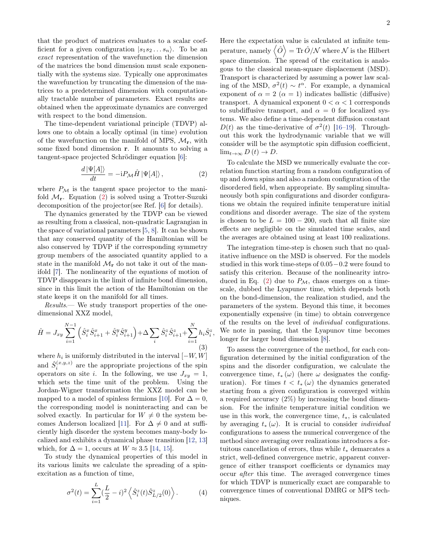that the product of matrices evaluates to a scalar coefficient for a given configuration  $|s_1s_2...s_n\rangle$ . To be an exact representation of the wavefunction the dimension of the matrices the bond dimension must scale exponentially with the systems size. Typically one approximates the wavefunction by truncating the dimension of the matrices to a predetermined dimension with computationally tractable number of parameters. Exact results are obtained when the approximate dynamics are converged with respect to the bond dimension.

The time-dependent variational principle (TDVP) allows one to obtain a locally optimal (in time) evolution of the wavefunction on the manifold of MPS,  $M_{\rm r}$ , with some fixed bond dimension r. It amounts to solving a tangent-space projected Schrödinger equation [\[6\]](#page-4-5):

<span id="page-1-0"></span>
$$
\frac{d\left|\Psi[A]\right\rangle}{dt} = -iP_{\mathcal{M}}\hat{H}\left|\Psi[A]\right\rangle,\tag{2}
$$

where  $P_M$  is the tangent space projector to the manifold  $\mathcal{M}_{\mathbf{r}}$ . Equation [\(2\)](#page-1-0) is solved using a Trotter-Suzuki decomposition of the projector(see Ref. [\[6\]](#page-4-5) for details).

The dynamics generated by the TDVP can be viewed as resulting from a classical, non-quadratic Lagrangian in the space of variational parameters [\[5,](#page-4-9) [8\]](#page-4-7). It can be shown that any conserved quantity of the Hamiltonian will be also conserved by TDVP if the corresponding symmetry group members of the associated quantity applied to a state in the manifold  $\mathcal{M}_{\mathbf{r}}$  do not take it out of the manifold [\[7\]](#page-4-6). The nonlinearity of the equations of motion of TDVP disappears in the limit of infinite bond dimension, since in this limit the action of the Hamiltonian on the state keeps it on the manifold for all times.

Results.— We study transport properties of the onedimensional XXZ model,

<span id="page-1-1"></span>
$$
\hat{H} = J_{xy} \sum_{i=1}^{N-1} \left( \hat{S}_i^x \hat{S}_{i+1}^x + \hat{S}_i^y \hat{S}_{i+1}^y \right) + \Delta \sum_i \hat{S}_i^z \hat{S}_{i+1}^z + \sum_{i=1}^N h_i \hat{S}_i^z
$$
\n(3)

,

where  $h_i$  is uniformly distributed in the interval  $[-W, W]$ and  $\hat{S}_i^{(x,y,z)}$  are the appropriate projections of the spin operators on site *i*. In the following, we use  $J_{xy} = 1$ , which sets the time unit of the problem. Using the Jordan-Wigner transformation the XXZ model can be mapped to a model of spinless fermions [\[10\]](#page-4-10). For  $\Delta = 0$ , the corresponding model is noninteracting and can be solved exactly. In particular for  $W \neq 0$  the system be-comes Anderson localized [\[11\]](#page-4-11). For  $\Delta \neq 0$  and at sufficiently high disorder the system becomes many-body localized and exhibits a dynamical phase transition [\[12,](#page-4-12) [13\]](#page-4-13) which, for  $\Delta = 1$ , occurs at  $W \approx 3.5$  [\[14,](#page-4-14) [15\]](#page-4-15).

To study the dynamical properties of this model in its various limits we calculate the spreading of a spinexcitation as a function of time,

$$
\sigma^{2}(t) = \sum_{i=1}^{L} (\frac{L}{2} - i)^{2} \left\langle \hat{S}_{i}^{z}(t) \hat{S}_{L/2}^{z}(0) \right\rangle.
$$
 (4)

Here the expectation value is calculated at infinite temperature, namely  $\left\langle \hat{O}\right\rangle =\text{Tr}\,\hat{O}/\mathcal{N}$  where  $\mathcal N$  is the Hilbert space dimension. The spread of the excitation is analogous to the classical mean-square displacement (MSD). Transport is characterized by assuming a power law scaling of the MSD,  $\sigma^2(t) \sim t^{\alpha}$ . For example, a dynamical exponent of  $\alpha = 2$  ( $\alpha = 1$ ) indicates ballistic (diffusive) transport. A dynamical exponent  $0 < \alpha < 1$  corresponds to subdiffusive transport, and  $\alpha = 0$  for localized systems. We also define a time-dependent diffusion constant  $D(t)$  as the time-derivative of  $\sigma^2(t)$  [\[16](#page-4-16)[–19\]](#page-4-17). Throughout this work the hydrodynamic variable that we will consider will be the asymptotic spin diffusion coefficient,  $\lim_{t\to\infty} D(t) \to D$ .

To calculate the MSD we numerically evaluate the correlation function starting from a random configuration of up and down spins and also a random configuration of the disordered field, when appropriate. By sampling simultaneously both spin configurations and disorder configurations we obtain the required infinite temperature initial conditions and disorder average. The size of the system is chosen to be  $L = 100 - 200$ , such that all finite size effects are negligible on the simulated time scales, and the averages are obtained using at least 100 realizations.

The integration time-step is chosen such that no qualitative influence on the MSD is observed. For the models studied in this work time-steps of 0.05−0.2 were found to satisfy this criterion. Because of the nonlinearity intro-duced in Eq. [\(2\)](#page-1-0) due to  $P_{\mathcal{M}}$ , chaos emerges on a timescale, dubbed the Lyapunov time, which depends both on the bond-dimension, the realization studied, and the parameters of the system. Beyond this time, it becomes exponentially expensive (in time) to obtain convergence of the results on the level of individual configurations. We note in passing, that the Lyapunov time becomes longer for larger bond dimension [\[8\]](#page-4-7).

To assess the convergence of the method, for each configuration determined by the initial configuration of the spins and the disorder configuration, we calculate the convergence time,  $t_*(\omega)$  (here  $\omega$  designates the configuration). For times  $t < t_*(\omega)$  the dynamics generated starting from a given configuration is converged within a required accuracy (2%) by increasing the bond dimension. For the infinite temperature initial condition we use in this work, the convergence time,  $t_*,$  is calculated by averaging  $t_*(\omega)$ . It is crucial to consider *individual* configurations to assess the numerical convergence of the method since averaging over realizations introduces a fortuitous cancellation of errors, thus while  $t_*$  demarcates a strict, well-defined convergence metric, apparent convergence of either transport coefficients or dynamics may occur after this time. The averaged convergence times for which TDVP is numerically exact are comparable to convergence times of conventional DMRG or MPS techniques.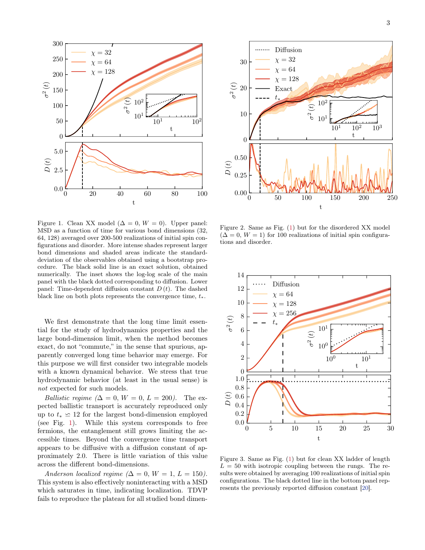

<span id="page-2-0"></span>Figure 1. Clean XX model ( $\Delta = 0$ ,  $W = 0$ ). Upper panel: MSD as a function of time for various bond dimensions (32, 64, 128) averaged over 200-500 realizations of initial spin configurations and disorder. More intense shades represent larger bond dimensions and shaded areas indicate the standarddeviation of the observables obtained using a bootstrap procedure. The black solid line is an exact solution, obtained numerically. The inset shows the log-log scale of the main panel with the black dotted corresponding to diffusion. Lower panel: Time-dependent diffusion constant  $D(t)$ . The dashed black line on both plots represents the convergence time,  $t_*.$ 

We first demonstrate that the long time limit essential for the study of hydrodynamics properties and the large bond-dimension limit, when the method becomes exact, do not "commute," in the sense that spurious, apparently converged long time behavior may emerge. For this purpose we will first consider two integrable models with a known dynamical behavior. We stress that true hydrodynamic behavior (at least in the usual sense) is not expected for such models.

*Ballistic regime*  $(\Delta = 0, W = 0, L = 200)$ . The expected ballistic transport is accurately reproduced only up to  $t_* \simeq 12$  for the largest bond-dimension employed (see Fig. [1\)](#page-2-0). While this system corresponds to free fermions, the entanglement still grows limiting the accessible times. Beyond the convergence time transport appears to be diffusive with a diffusion constant of approximately 2.0. There is little variation of this value across the different bond-dimensions.

Anderson localized regime ( $\Delta = 0$ ,  $W = 1$ ,  $L = 150$ ). This system is also effectively noninteracting with a MSD which saturates in time, indicating localization. TDVP fails to reproduce the plateau for all studied bond dimen-



<span id="page-2-1"></span>Figure 2. Same as Fig. [\(1\)](#page-2-0) but for the disordered XX model  $(\Delta = 0, W = 1)$  for 100 realizations of initial spin configurations and disorder.



<span id="page-2-2"></span>Figure 3. Same as Fig. [\(1\)](#page-2-0) but for clean XX ladder of length  $L = 50$  with isotropic coupling between the rungs. The results were obtained by averaging 100 realizations of initial spin configurations. The black dotted line in the bottom panel represents the previously reported diffusion constant [\[20\]](#page-4-18).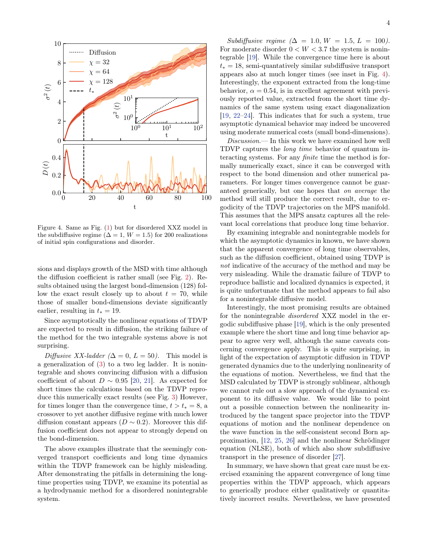

<span id="page-3-0"></span>Figure 4. Same as Fig. [\(1\)](#page-2-0) but for disordered XXZ model in the subdiffusive regime ( $\Delta = 1$ ,  $W = 1.5$ ) for 200 realizations of initial spin configurations and disorder.

sions and displays growth of the MSD with time although the diffusion coefficient is rather small (see Fig. [2\)](#page-2-1). Results obtained using the largest bond-dimension (128) follow the exact result closely up to about  $t = 70$ , while those of smaller bond-dimensions deviate significantly earlier, resulting in  $t_* = 19$ .

Since asymptotically the nonlinear equations of TDVP are expected to result in diffusion, the striking failure of the method for the two integrable systems above is not surprising.

Diffusive XX-ladder ( $\Delta = 0$ ,  $L = 50$ ). This model is a generalization of [\(3\)](#page-1-1) to a two leg ladder. It is nonintegrable and shows convincing diffusion with a diffusion coefficient of about  $D \sim 0.95$  [\[20,](#page-4-18) [21\]](#page-4-19). As expected for short times the calculations based on the TDVP reproduce this numerically exact results (see Fig. [3\)](#page-2-2) However, for times longer than the convergence time,  $t > t_* = 8$ , a crossover to yet another diffusive regime with much lower diffusion constant appears  $(D \sim 0.2)$ . Moreover this diffusion coefficient does not appear to strongly depend on the bond-dimension.

The above examples illustrate that the seemingly converged transport coefficients and long time dynamics within the TDVP framework can be highly misleading. After demonstrating the pitfalls in determining the longtime properties using TDVP, we examine its potential as a hydrodynamic method for a disordered nonintegrable system.

Subdiffusive regime  $(\Delta = 1.0, W = 1.5, L = 100)$ . For moderate disorder  $0 < W < 3.7$  the system is nonintegrable [\[19\]](#page-4-17). While the convergence time here is about  $t_* = 18$ , semi-quantatively similar subdiffusive transport appears also at much longer times (see inset in Fig. [4\)](#page-3-0). Interestingly, the exponent extracted from the long-time behavior,  $\alpha = 0.54$ , is in excellent agreement with previously reported value, extracted from the short time dynamics of the same system using exact diagonalization [\[19,](#page-4-17) [22](#page-4-20)[–24\]](#page-4-21). This indicates that for such a system, true asymptotic dynamical behavior may indeed be uncovered using moderate numerical costs (small bond-dimensions).

Discussion.— In this work we have examined how well TDVP captures the long time behavior of quantum interacting systems. For any finite time the method is formally numerically exact, since it can be converged with respect to the bond dimension and other numerical parameters. For longer times convergence cannot be guaranteed generically, but one hopes that on average the method will still produce the correct result, due to ergodicity of the TDVP trajectories on the MPS manifold. This assumes that the MPS ansatz captures all the relevant local correlations that produce long time behavior.

By examining integrable and nonintegrable models for which the asymptotic dynamics in known, we have shown that the apparent convergence of long time observables, such as the diffusion coefficient, obtained using TDVP is not indicative of the accuracy of the method and may be very misleading. While the dramatic failure of TDVP to reproduce ballistic and localized dynamics is expected, it is quite unfortunate that the method appears to fail also for a nonintegrable diffusive model.

Interestingly, the most promising results are obtained for the nonintegrable disordered XXZ model in the ergodic subdiffusive phase [\[19\]](#page-4-17), which is the only presented example where the short time and long time behavior appear to agree very well, although the same caveats concerning convergence apply. This is quite surprising, in light of the expectation of asymptotic diffusion in TDVP generated dynamics due to the underlying nonlinearity of the equations of motion. Nevertheless, we find that the MSD calculated by TDVP is strongly sublinear, although we cannot rule out a slow approach of the dynamical exponent to its diffusive value. We would like to point out a possible connection between the nonlinearity introduced by the tangent space projector into the TDVP equations of motion and the nonlinear dependence on the wave function in the self-consistent second Born approximation, [\[12,](#page-4-12) [25,](#page-4-22) [26\]](#page-4-23) and the nonlinear Schrödinger equation (NLSE), both of which also show subdiffusive transport in the presence of disorder [\[27\]](#page-4-24).

In summary, we have shown that great care must be exercised examining the apparent convergence of long time properties within the TDVP approach, which appears to generically produce either qualitatively or quantitatively incorrect results. Nevertheless, we have presented